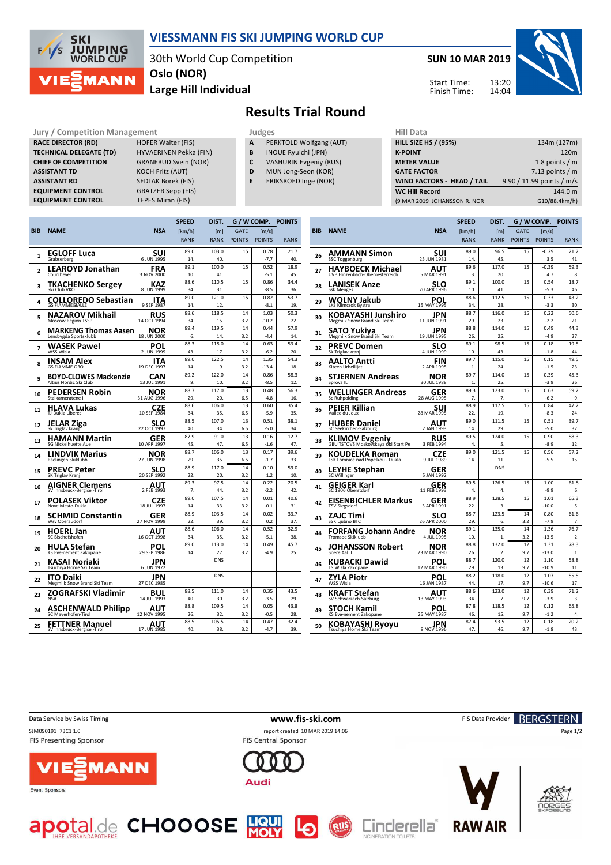

## **VIESSMANN FIS SKI JUMPING WORLD CUP**

30th World Cup Competition **Large Hill Individual Oslo (NOR)**

**SUN 10 MAR 2019**

13:20 14:04



Start Time: Finish Time:

## **Results Trial Round**

**Jury / Competition Management development development of the Judges of American Hill Data RACE DIRECTOR (RD) HOFER Walter (FIS) TECHNICAL DELEGATE (TD)** HYVAERINEN Pekka (FIN)<br> **CHIEF OF COMPETITION** GRANERUD Svein (NOR) **CHIEF OF COMPETITION ASSISTANT TD** KOCH Fritz (AUT) **ASSISTANT RD** SEDLAK Borek (FIS) **EQUIPMENT CONTROL** GRATZER Sepp (FIS)

**EQUIPMENT CONTROL TEPES Miran (FIS)** 

- **A** PERKTOLD Wolfgang (AUT)
- **B** INOUE Ryuichi (JPN)
- **C** VASHURIN Evgeniy (RUS)
- **D** MUN Jong-Seon (KOR)
- **E** ERIKSROED Inge (NOR)

| нн мата                           |                           |
|-----------------------------------|---------------------------|
| <b>HILL SIZE HS / (95%)</b>       | 134m (127m)               |
| <b>K-POINT</b>                    | 120 <sub>m</sub>          |
| <b>METER VALUE</b>                | 1.8 points $/m$           |
| <b>GATE FACTOR</b>                | 7.13 points $/m$          |
| <b>WIND FACTORS - HEAD / TAIL</b> | 9.90 / 11.99 points / m/s |
| <b>WC Hill Record</b>             | 144.0 m                   |
| (9 MAR 2019 JOHANSSON R. NOR      | G10/88.4km/h)             |
|                                   |                           |

|                |                                                      |                           |                | DIST.        | G / W COMP.   |                | <b>POINTS</b> |  |
|----------------|------------------------------------------------------|---------------------------|----------------|--------------|---------------|----------------|---------------|--|
| <b>BIB</b>     | <b>NAME</b>                                          | <b>NSA</b>                | [km/h]         | [m]          | <b>GATE</b>   | [m/s]          |               |  |
|                |                                                      |                           | <b>RANK</b>    | <b>RANK</b>  | <b>POINTS</b> | <b>POINTS</b>  | <b>RANK</b>   |  |
|                | <b>EGLOFF Luca</b>                                   | SUI                       | 89.0           | 103.0        | 15            | 0.78           | 21.7          |  |
| 1              | Grabserberg                                          | 6 JUN 1995                | 14.            | 40.          |               | $-7.7$         | 40.           |  |
| $\overline{2}$ | <b>LEAROYD Jonathan</b>                              | FRA                       | 89.1           | 100.0        | 15            | 0.52           | 18.9          |  |
|                | Courchevel                                           | 3 NOV 2000                | 10.            | 41.          |               | $-5.1$         | 45.           |  |
| 3              | <b>TKACHENKO Sergey</b>                              | <b>KAZ</b>                | 88.6           | 110.5        | 15            | 0.86           | 34.4          |  |
|                | Ski Club VKO                                         | 8 JUN 1999                | 34.            | 31.          |               | $-8.5$         | 36.           |  |
| 4              | <b>COLLOREDO Sebastian</b>                           | ITA                       | 89.0           | 121.0        | 15            | 0.82           | 53.7          |  |
|                | <b>GS FIAMMEGIALLE</b>                               | 9 SEP 1987                | 14.<br>88.6    | 12.<br>118.5 | 14            | $-8.1$<br>1.03 | 19.<br>50.3   |  |
| 5              | <b>NAZAROV Mikhail</b><br>Moscow Region TSSP         | RUS<br>14 OCT 1994        | 34.            | 15.          | 3.2           | $-10.2$        | 22.           |  |
|                |                                                      | NOR                       | 89.4           | 119.5        | 14            | 0.44           | 57.9          |  |
| 6              | <b>MARKENG Thomas Aasen</b><br>Lensbygda Sportsklubb | 18 JUN 2000               | 6.             | 14.          | 3.2           | $-4.4$         | 14.           |  |
| 7              | <b>WASEK Pawel</b>                                   | POL                       | 88.3           | 118.0        | 14            | 0.63           | 53.4          |  |
|                | WSS Wisla                                            | 2 JUN 1999                | 43.            | 17.          | 3.2           | $-6.2$         | 20.           |  |
| 8              | INSAM Alex                                           | ITA                       | 89.0           | 122.5        | 14            | 1.35           | 54.3          |  |
|                | <b>GS FIAMME ORO</b>                                 | 19 DEC 1997               | 14.            | 9.           | 3.2           | $-13.4$        | 18.           |  |
| 9              | <b>BOYD-CLOWES Mackenzie</b>                         | <b>CAN</b>                | 89.2           | 122.0        | 14            | 0.86           | 58.3          |  |
|                | Altius Nordic Ski Club                               | 13 JUL 1991               | 9.             | 10.          | 3.2           | $-8.5$         | 12.           |  |
| 10             | PEDERSEN Robin<br>Stalkameratene II                  | NOR<br>31 AUG 1996        | 88.7<br>29.    | 117.0<br>20. | 13<br>6.5     | 0.48<br>$-4.8$ | 56.3<br>16.   |  |
|                |                                                      |                           | 88.6           | 106.0        | 13            | 0.60           | 35.4          |  |
| 11             | <b>HLAVA Lukas</b><br>TJ Dukla Liberec               | CZE<br>10 SEP 1984        | 34             | २८           | 6.5           | $-5.9$         | 35.           |  |
|                | JELAR Ziga                                           |                           | 88.5           | 107.0        | 13            | 0.51           | 38.1          |  |
| 12             | Sk Triglav kranj                                     | <b>SLO</b><br>22 OCT 1997 | 40             | 34           | 6.5           | $-5.0$         | 34            |  |
| 13             | <b>HAMANN Martin</b>                                 | GER                       | 87.9           | 91.0         | 13            | 0.16           | 12.7          |  |
|                | SG Nickelhuette Aue                                  | 10 APR 1997               | 45.            | 47.          | 6.5           | $-1.6$         | 47.           |  |
| 14             | <b>LINDVIK Marius</b>                                | NOR                       | 88.7           | 106.0        | 13            | 0.17           | 39.6          |  |
|                | Raelingen Skiklubb                                   | 27 JUN 1998               | 29.            | 35.          | 6.5           | $-1.7$         | 33.           |  |
| 15             | PREVC Peter                                          | SLO                       | 88.9           | 117.0<br>2Ω  | 14            | $-0.10$        | 59.0          |  |
|                | SK Triglav Kranj                                     | 20 SEP 1992               | 22.<br>89.3    | 97.5         | 3.2<br>14     | 1.2<br>0.22    | 10.<br>20.5   |  |
| 16             | AIGNER Clemens<br>SV Innsbruck-Bergisel-Tirol        | AUT<br>2 FEB 1993         | $\overline{7}$ | 44.          | 3.2           | $-2.2$         | 42.           |  |
|                | POLASEK Viktor                                       |                           | 89.0           | 107.5        | 14            | 0.01           | 40.6          |  |
| 17             | Nove Mesto-Dukla                                     | CZE<br>18 JUL 1997        | 14.            | 33.          | 3.2           | $-0.1$         | 31.           |  |
|                | SCHMID Constantin                                    | GER                       | 88.9           | 103.5        | 14            | $-0.02$        | 33.7          |  |
| 18             | Wsv Oberaudorf                                       | 27 NOV 1999               | 22.            | 39.          | 3.2           | 0.2            | 37.           |  |
| 19             | <b>HOERL Jan</b>                                     | AUT                       | 88.6           | 106.0        | 14            | 0.52           | 32.9          |  |
|                | SC Bischofshofen                                     | 16 OCT 1998               | 34.            | 35.          | 3.2           | $-5.1$         | 38.           |  |
| 20             | HULA Stefan<br>KS Eve-nement Zakopane                | POL<br>29 SEP 1986        | 89.0<br>14.    | 113.0<br>27. | 14<br>3.2     | 0.49<br>$-4.9$ | 45.7<br>25.   |  |
|                |                                                      |                           |                | <b>DNS</b>   |               |                |               |  |
| 21             | KASAI Noriaki<br>Tsuchiya Home Ski Team              | JPN<br>6 JUN 1972         |                |              |               |                |               |  |
| 22             | <b>ITO Daiki</b><br>Megmilk Snow Brand Ski Team      | JPN<br>27 DEC 1985        |                | <b>DNS</b>   |               |                |               |  |
|                | ZOGRAFSKI Vladimir                                   | BUL                       | 88.5           | 111.0        | 14            | 0.35           | 43.5          |  |
| 23             | <b>NSA</b>                                           | 14 JUL 1993               | 40.            | 30.          | 3.2           | $-3.5$         | 29.           |  |
| 24             | <b>ASCHENWALD Philipp</b>                            | <b>AUT</b>                | 88.8           | 109.5        | 14            | 0.05           | 43.8          |  |
|                | SC Mayerhofen-Tirol                                  | 12 NOV 1995               | 26.            | 32.          | 3.2           | $-0.5$         | 28.           |  |
| 25             | <b>FETTNER Manuel</b>                                | AUT                       | 88.5           | 105.5        | 14            | 0.47           | 32.4          |  |
|                | SV Innsbruck-Bergisel-Tirol                          | 17 JUN 1985               | 40             | 38.          | 3.2           | $-4.7$         | 39.           |  |
|                |                                                      |                           |                |              |               |                |               |  |

|     |                                                              |                    | <b>SPEED</b> | DIST.        | G / W COMP.   |                | <b>POINTS</b> |
|-----|--------------------------------------------------------------|--------------------|--------------|--------------|---------------|----------------|---------------|
| BIB | <b>NAME</b>                                                  | <b>NSA</b>         | [km/h]       | [ml]         | <b>GATE</b>   | [m/s]          |               |
|     |                                                              |                    | <b>RANK</b>  | <b>RANK</b>  | <b>POINTS</b> | <b>POINTS</b>  | <b>RANK</b>   |
|     | AMMANN Simon                                                 | SUI                | 89.0         | 96.5         | 15            | $-0.29$        | 21.2          |
| 26  | SSC Toggenburg                                               | 25 JUN 1981        | 14.          | 45.          |               | 3.5            | 41.           |
| 27  | HAYBOECK Michael                                             | AUT                | 89.6         | 117.0        | 15            | $-0.39$        | 59.3          |
|     | UVB Hinzenbach-Oberoesterreich                               | 5 MAR 1991         | 3.           | 20.          |               | 4.7            | 8.            |
| 28  | LANISEK Anze<br><b>Ssk Menges</b>                            | SLO<br>20 APR 1996 | 89.1<br>10.  | 100.0<br>41. | 15            | 0.54<br>$-5.3$ | 18.7<br>46.   |
|     | WOLNY Jakub                                                  | POL                | 88.6         | 112.5        | 15            | 0.33           | 43.2          |
| 29  | LKS Klimczok Bystra                                          | 15 MAY 1995        | 34           | 28.          |               | $-3.3$         | 30.           |
| 30  | KOBAYASHI Junshiro                                           | JPN                | 88.7         | 116.0        | 15            | 0.22           | 50.6          |
|     | Megmilk Snow Brand Ski Team                                  | 11 JUN 1991        | 29.          | 23.          |               | $-2.2$         | 21.           |
| 31  | SATO Yukiya                                                  | JPN                | 88.8         | 114.0        | 15            | 0.49           | 44.3          |
|     | Megmilk Snow Brand Ski Team                                  | 19 JUN 1995        | 26.          | 25.          |               | $-4.9$         | 27.           |
| 32  | <b>PREVC Domen</b>                                           | <b>SLO</b>         | 89.1         | 98.5         | 15            | 0.18           | 19.5          |
|     | Sk Triglav kranj                                             | 4 JUN 1999         | 10.          | 43.          |               | $-1.8$         | 44.           |
| 33  | AALTO Antti                                                  | FIN                | 89.7         | 115.0        | 15            | 0.15           | 49.5          |
|     | Kiteen Urheilijat                                            | 2 APR 1995         | $\mathbf{1}$ | 24.          |               | $-1.5$         | 23.           |
| 34  | STJERNEN Andreas                                             | NOR                | 89.7         | 114.0        | 15            | 0.39           | 45.3          |
|     | Sprova II                                                    | 30 JUL 1988        | 1.           | 25.          |               | $-3.9$         | 26.           |
| 35  | WELLINGER Andreas                                            | GER                | 89.3         | 123.0        | 15            | 0.63           | 59.2          |
|     | <b>Sc Ruhpolding</b>                                         | 28 AUG 1995        | 7.           | 7.           |               | $-6.2$         | 9.            |
| 36  | PEIER Killian                                                | SUI                | 88.9         | 117.5        | 15            | 0.84           | 47.2          |
|     | Vallee du Joux                                               | 28 MAR 1995        | 22.          | 19.          |               | $-8.3$         | 24.           |
| 37  | <b>HUBER Daniel</b>                                          | AUT                | 89.0         | 111.5        | 15            | 0.51           | 39.7          |
|     | SC Seekirchen-Salzburg                                       | 2 JAN 1993         | 14.          | 29.          |               | $-5.0$         | 32.           |
| 38  | <b>KLIMOV Evgeniy</b><br>GBU TSTOVS Moskovskaya obl Start Pe | RUS<br>3 FEB 1994  | 89.5<br>4.   | 124.0<br>5.  | 15            | 0.90<br>$-8.9$ | 58.3<br>12.   |
|     |                                                              |                    | 89.0         | 121.5        | 15            | 0.56           | 57.2          |
| 39  | KOUDELKA Roman<br>LSK Lomnice nad Popelkou - Dukla           | CZE<br>9 JUL 1989  | 14.          | 11.          |               | $-5.5$         | 15.           |
|     |                                                              |                    |              | <b>DNS</b>   |               |                |               |
| 40  | LEYHE Stephan<br>SC Willingen                                | GER<br>5 JAN 1992  |              |              |               |                |               |
| 41  | GEIGER Karl                                                  | GER                | 89.5         | 126.5        | 15            | 1.00           | 61.8          |
|     | SC 1906 Oberstdorf                                           | 11 FEB 1993        | 4.           | 4.           |               | $-9.9$         | 6.            |
| 42  | <b>EISENBICHLER Markus</b>                                   | GER                | 88.9         | 128.5        | 15            | 1.01           | 65.3          |
|     | <b>TSV Siegsdorf</b>                                         | 3 APR 1991         | 22.          | 3.           |               | $-10.0$        | 5.            |
| 43  | ZAJC Timi                                                    | SLO<br>26 APR 2000 | 88.7<br>29.  | 123.5<br>6.  | 14<br>3.2     | 0.80<br>$-7.9$ | 61.6<br>7.    |
|     |                                                              |                    | 89.1         | 135.0        | 14            | 1.36           | 76.7          |
| 44  | FORFANG Johann Andre<br><b>Tromsoe Skiklubb</b>              | NOR<br>4 JUL 1995  | 10.          | 1.           | 3.2           | $-13.5$        | 2.            |
|     |                                                              |                    | 88.8         | 132.0        | 12            | 1.31           | 78.3          |
| 45  | JOHANSSON Robert<br>Soere Aal IL                             | NOR<br>23 MAR 1990 | 26.          | 2.           | 9.7           | $-13.0$        | 1.            |
|     | KUBACKI Dawid                                                | POL                | 88.7         | 120.0        | 12            | 1.10           | 58.8          |
| 46  | TS Wisla Zakopane                                            | 12 MAR 1990        | 29.          | 13.          | 9.7           | $-10.9$        | 11.           |
|     | ZYLA Piotr                                                   | POL                | 88.2         | 118.0        | 12            | 1.07           | 55.5          |
| 47  | WSS Wisla                                                    | 16 JAN 1987        | 44.          | 17.          | 9.7           | $-10.6$        | 17.           |
|     | KRAFT Stefan                                                 | AUT                | 88.6         | 123.0        | 12            | 0.39           | 71.2          |
| 48  | SV Schwarzach-Salzburg                                       | 13 MAY 1993        | 34.          | 7.           | 9.7           | $-3.9$         | 3.            |
| 49  | STOCH Kamil                                                  | POL                | 87.8         | 118.5        | 12            | 0.12           | 65.8          |
|     | KS Eve-nement Zakopane                                       | 25 MAY 1987        | 46.          | 15.          | 9.7           | $-1.2$         | 4.            |
| 50  | <b>KOBAYASHI Ryoyu</b>                                       | JPN                | 87.4         | 93.5         | 12            | 0.18           | 20.2          |
|     | Tsuchiya Home Ski Team                                       | 8 NOV 1996         | 47.          | 46.          | 9.7           | $-1.8$         | 43.           |
|     |                                                              |                    |              |              |               |                |               |



FIS Presenting Sponsor

SJM090191\_73C1 1.0 report created 10 MAR 2019 14:06

RIIS









Cinderella®



Page 1/2